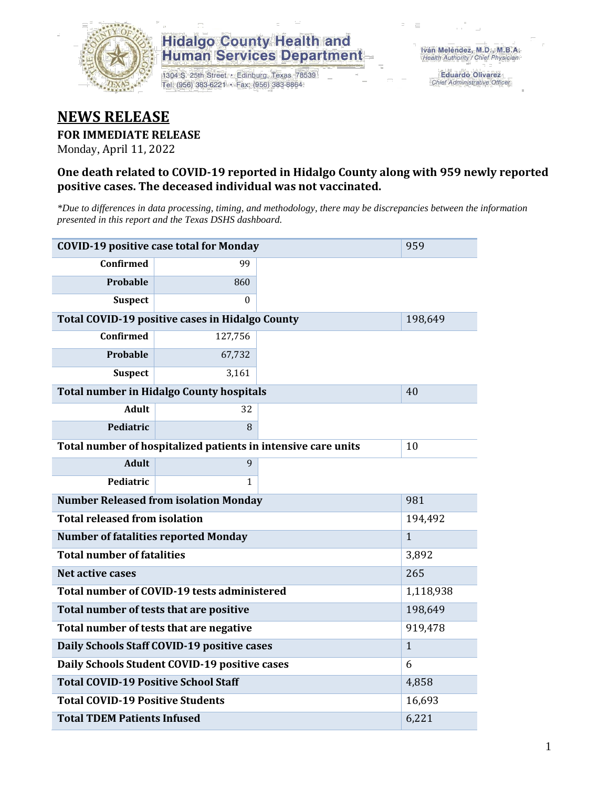

1304 S. 25th Street · Edinburg, Texas 78539 Tel: (956) 383-6221 · Fax: (956) 383-8864

**Eduardo Olivarez** Chief Administrative Officer

#### **NEWS RELEASE**

#### **FOR IMMEDIATE RELEASE**

Monday, April 11, 2022

#### **One death related to COVID-19 reported in Hidalgo County along with 959 newly reported positive cases. The deceased individual was not vaccinated.**

*\*Due to differences in data processing, timing, and methodology, there may be discrepancies between the information presented in this report and the Texas DSHS dashboard.*

| <b>COVID-19 positive case total for Monday</b> | 959                                                           |     |              |
|------------------------------------------------|---------------------------------------------------------------|-----|--------------|
| <b>Confirmed</b>                               | 99                                                            |     |              |
| <b>Probable</b>                                | 860                                                           |     |              |
| <b>Suspect</b>                                 | $\Omega$                                                      |     |              |
|                                                | <b>Total COVID-19 positive cases in Hidalgo County</b>        |     | 198,649      |
| <b>Confirmed</b>                               | 127,756                                                       |     |              |
| Probable                                       | 67,732                                                        |     |              |
| <b>Suspect</b>                                 | 3,161                                                         |     |              |
|                                                | <b>Total number in Hidalgo County hospitals</b>               |     | 40           |
| <b>Adult</b>                                   | 32                                                            |     |              |
| Pediatric                                      | 8                                                             |     |              |
|                                                | Total number of hospitalized patients in intensive care units | 10  |              |
| <b>Adult</b>                                   | 9                                                             |     |              |
| Pediatric                                      | 1                                                             |     |              |
| <b>Number Released from isolation Monday</b>   |                                                               | 981 |              |
| <b>Total released from isolation</b>           |                                                               |     | 194,492      |
| <b>Number of fatalities reported Monday</b>    |                                                               |     | $\mathbf{1}$ |
| <b>Total number of fatalities</b>              |                                                               |     | 3,892        |
| Net active cases                               |                                                               |     | 265          |
|                                                | Total number of COVID-19 tests administered                   |     | 1,118,938    |
| Total number of tests that are positive        |                                                               |     | 198,649      |
|                                                | Total number of tests that are negative                       |     | 919,478      |
|                                                | Daily Schools Staff COVID-19 positive cases                   |     | $\mathbf{1}$ |
|                                                | Daily Schools Student COVID-19 positive cases                 |     | 6            |
| <b>Total COVID-19 Positive School Staff</b>    |                                                               |     | 4,858        |
| <b>Total COVID-19 Positive Students</b>        | 16,693                                                        |     |              |
| <b>Total TDEM Patients Infused</b>             | 6,221                                                         |     |              |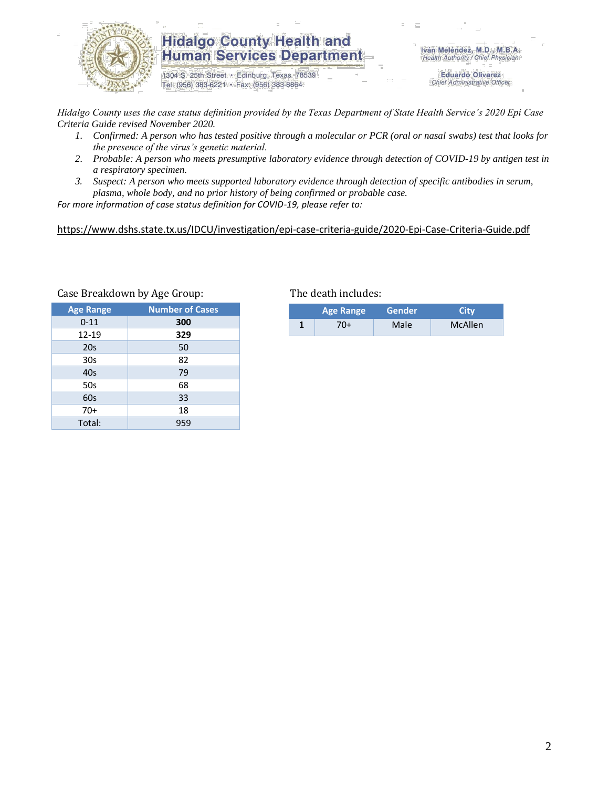

1304 S. 25th Street · Edinburg, Texas 78539 Tel: (956) 383-6221 · Fax: (956) 383-8864

Iván Meléndez, M.D., M.B.A. Health Authority / Chief Physician

> **Eduardo Olivarez** Chief Administrative Officer

*Hidalgo County uses the case status definition provided by the Texas Department of State Health Service's 2020 Epi Case Criteria Guide revised November 2020.*

- *1. Confirmed: A person who has tested positive through a molecular or PCR (oral or nasal swabs) test that looks for the presence of the virus's genetic material.*
- *2. Probable: A person who meets presumptive laboratory evidence through detection of COVID-19 by antigen test in a respiratory specimen.*
- *3. Suspect: A person who meets supported laboratory evidence through detection of specific antibodies in serum, plasma, whole body, and no prior history of being confirmed or probable case.*

*For more information of case status definition for COVID-19, please refer to:*

<https://www.dshs.state.tx.us/IDCU/investigation/epi-case-criteria-guide/2020-Epi-Case-Criteria-Guide.pdf>

| <b>Age Range</b> | <b>Number of Cases</b> |
|------------------|------------------------|
| $0 - 11$         | 300                    |
| 12-19            | 329                    |
| 20 <sub>s</sub>  | 50                     |
| 30s              | 82                     |
| 40s              | 79                     |
| 50s              | 68                     |
| 60s              | 33                     |
| $70+$            | 18                     |
| Total:           | 959                    |

#### Case Breakdown by Age Group: The death includes:

|   | <b>Age Range</b> | <b>Gender</b> ' | City           |
|---|------------------|-----------------|----------------|
| и | 70+              | Male            | <b>McAllen</b> |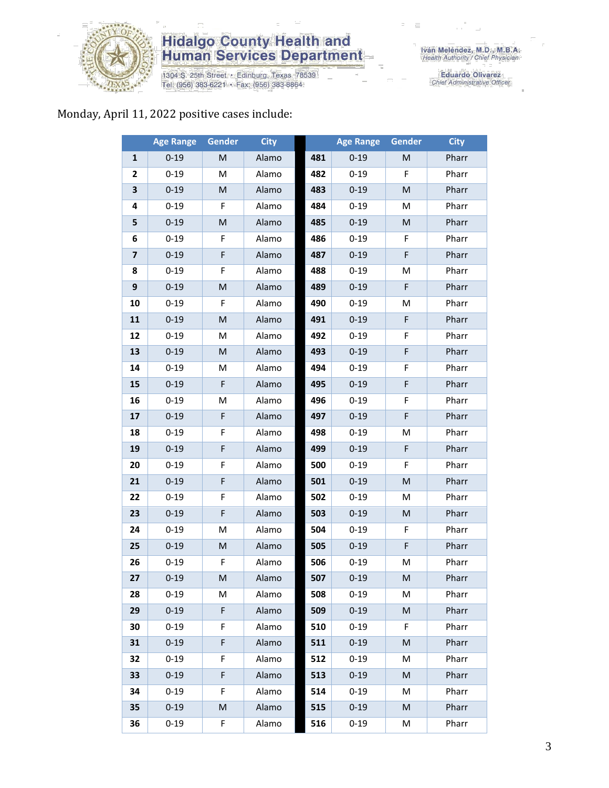

1304 S. 25th Street • Edinburg, Texas 78539<br>Tel: (956) 383-6221 • Fax: (956) 383-8864

Iván Meléndez, M.D., M.B.A.<br>Health Authority / Chief Physician

Eduardo Olivarez<br>Chief Administrative Officer

#### Monday, April 11, 2022 positive cases include:

|                         | <b>Age Range</b> | Gender | <b>City</b> |     | <b>Age Range</b> | Gender                                                                                                     | <b>City</b> |
|-------------------------|------------------|--------|-------------|-----|------------------|------------------------------------------------------------------------------------------------------------|-------------|
| 1                       | $0 - 19$         | M      | Alamo       | 481 | $0 - 19$         | M                                                                                                          | Pharr       |
| 2                       | $0 - 19$         | M      | Alamo       | 482 | $0 - 19$         | F                                                                                                          | Pharr       |
| 3                       | $0 - 19$         | M      | Alamo       | 483 | $0 - 19$         | $\mathsf{M}% _{T}=\mathsf{M}_{T}\!\left( a,b\right) ,\ \mathsf{M}_{T}=\mathsf{M}_{T}\!\left( a,b\right) ,$ | Pharr       |
| 4                       | $0 - 19$         | F      | Alamo       | 484 | $0 - 19$         | M                                                                                                          | Pharr       |
| 5                       | $0 - 19$         | M      | Alamo       | 485 | $0 - 19$         | M                                                                                                          | Pharr       |
| 6                       | $0 - 19$         | F      | Alamo       | 486 | $0 - 19$         | F                                                                                                          | Pharr       |
| $\overline{\mathbf{z}}$ | $0 - 19$         | F      | Alamo       | 487 | $0 - 19$         | F                                                                                                          | Pharr       |
| 8                       | $0 - 19$         | F      | Alamo       | 488 | $0 - 19$         | M                                                                                                          | Pharr       |
| 9                       | $0 - 19$         | M      | Alamo       | 489 | $0 - 19$         | F                                                                                                          | Pharr       |
| 10                      | $0 - 19$         | F      | Alamo       | 490 | $0 - 19$         | M                                                                                                          | Pharr       |
| 11                      | $0 - 19$         | M      | Alamo       | 491 | $0 - 19$         | F                                                                                                          | Pharr       |
| 12                      | $0 - 19$         | M      | Alamo       | 492 | $0 - 19$         | F                                                                                                          | Pharr       |
| 13                      | $0 - 19$         | M      | Alamo       | 493 | $0 - 19$         | F                                                                                                          | Pharr       |
| 14                      | $0 - 19$         | M      | Alamo       | 494 | $0 - 19$         | F                                                                                                          | Pharr       |
| 15                      | $0 - 19$         | F      | Alamo       | 495 | $0 - 19$         | F                                                                                                          | Pharr       |
| 16                      | $0 - 19$         | M      | Alamo       | 496 | $0 - 19$         | F                                                                                                          | Pharr       |
| 17                      | $0 - 19$         | F      | Alamo       | 497 | $0 - 19$         | F                                                                                                          | Pharr       |
| 18                      | $0 - 19$         | F      | Alamo       | 498 | $0 - 19$         | M                                                                                                          | Pharr       |
| 19                      | $0 - 19$         | F      | Alamo       | 499 | $0 - 19$         | F                                                                                                          | Pharr       |
| 20                      | $0 - 19$         | F      | Alamo       | 500 | $0 - 19$         | F                                                                                                          | Pharr       |
| 21                      | $0 - 19$         | F      | Alamo       | 501 | $0 - 19$         | M                                                                                                          | Pharr       |
| 22                      | $0 - 19$         | F      | Alamo       | 502 | $0 - 19$         | M                                                                                                          | Pharr       |
| 23                      | $0 - 19$         | F      | Alamo       | 503 | $0 - 19$         | M                                                                                                          | Pharr       |
| 24                      | $0 - 19$         | M      | Alamo       | 504 | $0 - 19$         | F                                                                                                          | Pharr       |
| 25                      | $0 - 19$         | M      | Alamo       | 505 | $0 - 19$         | F                                                                                                          | Pharr       |
| 26                      | $0 - 19$         | F      | Alamo       | 506 | $0 - 19$         | M                                                                                                          | Pharr       |
| 27                      | $0 - 19$         | M      | Alamo       | 507 | $0 - 19$         | M                                                                                                          | Pharr       |
| 28                      | $0 - 19$         | M      | Alamo       | 508 | $0 - 19$         | M                                                                                                          | Pharr       |
| 29                      | $0 - 19$         | F.     | Alamo       | 509 | $0 - 19$         | M                                                                                                          | Pharr       |
| 30                      | $0 - 19$         | F      | Alamo       | 510 | $0 - 19$         | F                                                                                                          | Pharr       |
| 31                      | $0 - 19$         | F      | Alamo       | 511 | $0 - 19$         | M                                                                                                          | Pharr       |
| 32                      | $0 - 19$         | F      | Alamo       | 512 | $0 - 19$         | M                                                                                                          | Pharr       |
| 33                      | $0 - 19$         | F      | Alamo       | 513 | $0 - 19$         | M                                                                                                          | Pharr       |
| 34                      | $0 - 19$         | F      | Alamo       | 514 | $0 - 19$         | M                                                                                                          | Pharr       |
| 35                      | $0 - 19$         | M      | Alamo       | 515 | $0 - 19$         | M                                                                                                          | Pharr       |
| 36                      | $0 - 19$         | F      | Alamo       | 516 | $0 - 19$         | M                                                                                                          | Pharr       |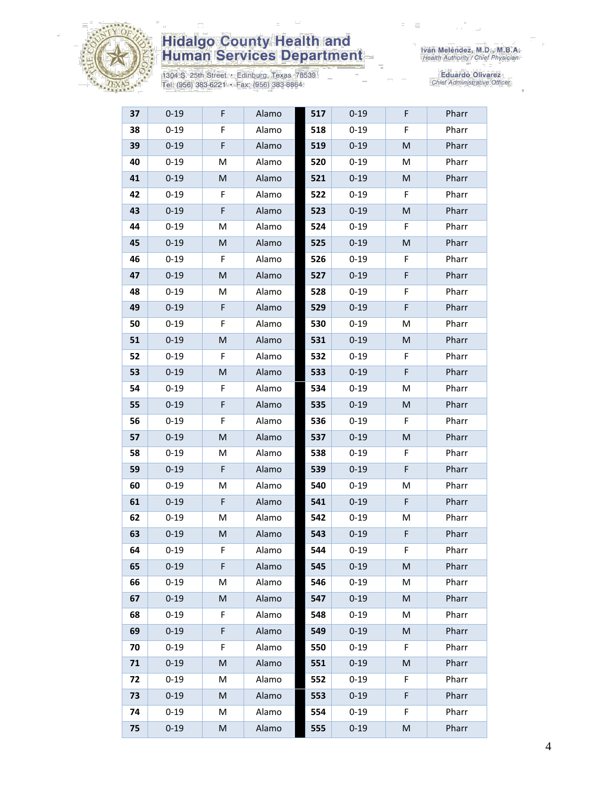

1304 S. 25th Street • Edinburg, Texas 78539<br>Tel: (956) 383-6221 • Fax: (956) 383-8864

| 37 | $0 - 19$ | F | Alamo | 517 | $0 - 19$ | F | Pharr |
|----|----------|---|-------|-----|----------|---|-------|
| 38 | $0 - 19$ | F | Alamo | 518 | $0 - 19$ | F | Pharr |
| 39 | $0 - 19$ | F | Alamo | 519 | $0 - 19$ | M | Pharr |
| 40 | $0 - 19$ | М | Alamo | 520 | $0 - 19$ | M | Pharr |
| 41 | $0 - 19$ | M | Alamo | 521 | $0 - 19$ | M | Pharr |
| 42 | $0 - 19$ | F | Alamo | 522 | $0 - 19$ | F | Pharr |
| 43 | $0 - 19$ | F | Alamo | 523 | $0 - 19$ | M | Pharr |
| 44 | $0 - 19$ | M | Alamo | 524 | $0 - 19$ | F | Pharr |
| 45 | $0 - 19$ | M | Alamo | 525 | $0 - 19$ | M | Pharr |
| 46 | $0 - 19$ | F | Alamo | 526 | $0 - 19$ | F | Pharr |
| 47 | $0 - 19$ | M | Alamo | 527 | $0 - 19$ | F | Pharr |
| 48 | $0 - 19$ | M | Alamo | 528 | $0 - 19$ | F | Pharr |
| 49 | $0 - 19$ | F | Alamo | 529 | $0 - 19$ | F | Pharr |
| 50 | $0 - 19$ | F | Alamo | 530 | $0 - 19$ | M | Pharr |
| 51 | $0 - 19$ | M | Alamo | 531 | $0 - 19$ | M | Pharr |
| 52 | $0 - 19$ | F | Alamo | 532 | $0 - 19$ | F | Pharr |
| 53 | $0 - 19$ | M | Alamo | 533 | $0 - 19$ | F | Pharr |
| 54 | $0 - 19$ | F | Alamo | 534 | $0 - 19$ | M | Pharr |
| 55 | $0 - 19$ | F | Alamo | 535 | $0 - 19$ | M | Pharr |
| 56 | $0 - 19$ | F | Alamo | 536 | $0 - 19$ | F | Pharr |
| 57 | $0 - 19$ | M | Alamo | 537 | $0 - 19$ | M | Pharr |
| 58 | $0 - 19$ | M | Alamo | 538 | $0 - 19$ | F | Pharr |
| 59 | $0 - 19$ | F | Alamo | 539 | $0 - 19$ | F | Pharr |
| 60 | $0 - 19$ | M | Alamo | 540 | $0 - 19$ | M | Pharr |
| 61 | $0 - 19$ | F | Alamo | 541 | $0 - 19$ | F | Pharr |
| 62 | $0 - 19$ | M | Alamo | 542 | $0 - 19$ | M | Pharr |
| 63 | $0 - 19$ | M | Alamo | 543 | $0 - 19$ | F | Pharr |
| 64 | $0 - 19$ | F | Alamo | 544 | $0 - 19$ | F | Pharr |
| 65 | $0 - 19$ | F | Alamo | 545 | $0 - 19$ | M | Pharr |
| 66 | $0 - 19$ | M | Alamo | 546 | $0 - 19$ | M | Pharr |
| 67 | $0 - 19$ | M | Alamo | 547 | $0 - 19$ | M | Pharr |
| 68 | $0 - 19$ | F | Alamo | 548 | $0 - 19$ | M | Pharr |
| 69 | $0 - 19$ | F | Alamo | 549 | $0 - 19$ | M | Pharr |
| 70 | $0 - 19$ | F | Alamo | 550 | $0 - 19$ | F | Pharr |
| 71 | $0 - 19$ | M | Alamo | 551 | $0 - 19$ | M | Pharr |
| 72 | $0 - 19$ | М | Alamo | 552 | $0 - 19$ | F | Pharr |
| 73 | $0 - 19$ | M | Alamo | 553 | $0 - 19$ | F | Pharr |
| 74 | $0 - 19$ | М | Alamo | 554 | $0 - 19$ | F | Pharr |
| 75 | $0 - 19$ | M | Alamo | 555 | $0 - 19$ | M | Pharr |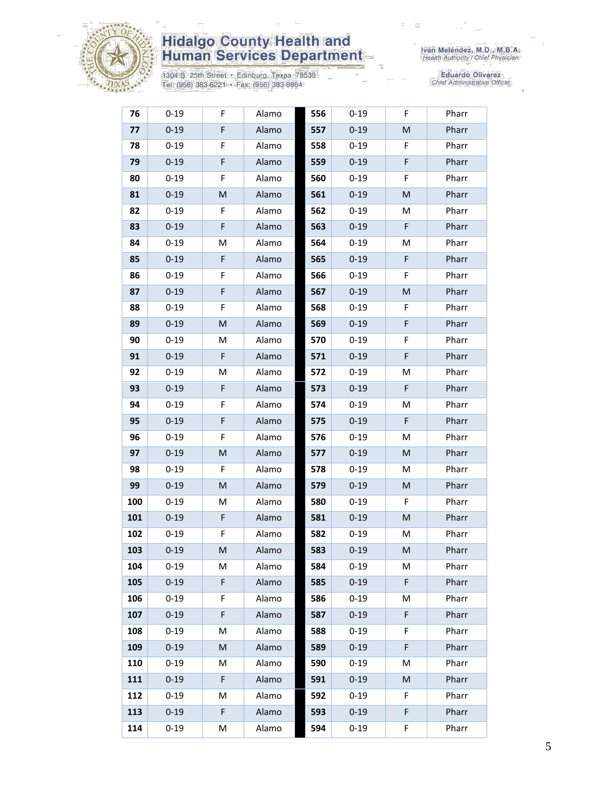

1304 S. 25th Street • Edinburg, Texas 78539<br>Tel: (956) 383-6221 • Fax: (956) 383-8864

| 76  | $0 - 19$ | F | Alamo | 556 | $0 - 19$ | F | Pharr |
|-----|----------|---|-------|-----|----------|---|-------|
| 77  | $0 - 19$ | F | Alamo | 557 | $0 - 19$ | M | Pharr |
| 78  | $0 - 19$ | F | Alamo | 558 | $0 - 19$ | F | Pharr |
| 79  | $0 - 19$ | F | Alamo | 559 | $0 - 19$ | F | Pharr |
| 80  | $0 - 19$ | F | Alamo | 560 | $0 - 19$ | F | Pharr |
| 81  | $0 - 19$ | M | Alamo | 561 | $0 - 19$ | M | Pharr |
| 82  | $0 - 19$ | F | Alamo | 562 | $0 - 19$ | м | Pharr |
| 83  | $0 - 19$ | F | Alamo | 563 | $0 - 19$ | F | Pharr |
| 84  | $0 - 19$ | M | Alamo | 564 | $0 - 19$ | M | Pharr |
| 85  | $0 - 19$ | F | Alamo | 565 | $0 - 19$ | F | Pharr |
| 86  | $0 - 19$ | F | Alamo | 566 | $0 - 19$ | F | Pharr |
| 87  | $0 - 19$ | F | Alamo | 567 | $0 - 19$ | M | Pharr |
| 88  | $0 - 19$ | F | Alamo | 568 | $0 - 19$ | F | Pharr |
| 89  | $0 - 19$ | M | Alamo | 569 | $0 - 19$ | F | Pharr |
| 90  | $0 - 19$ | M | Alamo | 570 | $0 - 19$ | F | Pharr |
| 91  | $0 - 19$ | F | Alamo | 571 | $0 - 19$ | F | Pharr |
| 92  | $0 - 19$ | M | Alamo | 572 | $0 - 19$ | M | Pharr |
| 93  | $0 - 19$ | F | Alamo | 573 | $0 - 19$ | F | Pharr |
| 94  | $0 - 19$ | F | Alamo | 574 | $0 - 19$ | M | Pharr |
| 95  | $0 - 19$ | F | Alamo | 575 | $0 - 19$ | F | Pharr |
| 96  | $0 - 19$ | F | Alamo | 576 | $0 - 19$ | M | Pharr |
| 97  | $0 - 19$ | M | Alamo | 577 | $0 - 19$ | M | Pharr |
| 98  | $0 - 19$ | F | Alamo | 578 | $0 - 19$ | M | Pharr |
| 99  | $0 - 19$ | M | Alamo | 579 | $0 - 19$ | M | Pharr |
| 100 | $0 - 19$ | M | Alamo | 580 | $0 - 19$ | F | Pharr |
| 101 | $0 - 19$ | F | Alamo | 581 | $0 - 19$ | M | Pharr |
| 102 | $0 - 19$ | F | Alamo | 582 | $0 - 19$ | M | Pharr |
| 103 | $0 - 19$ | M | Alamo | 583 | $0 - 19$ | M | Pharr |
| 104 | $0 - 19$ | М | Alamo | 584 | $0 - 19$ | M | Pharr |
| 105 | $0 - 19$ | F | Alamo | 585 | $0 - 19$ | F | Pharr |
| 106 | $0 - 19$ | F | Alamo | 586 | $0 - 19$ | М | Pharr |
| 107 | $0 - 19$ | F | Alamo | 587 | $0 - 19$ | F | Pharr |
| 108 | $0 - 19$ | M | Alamo | 588 | $0 - 19$ | F | Pharr |
| 109 | $0 - 19$ | M | Alamo | 589 | $0 - 19$ | F | Pharr |
| 110 | $0 - 19$ | М | Alamo | 590 | $0 - 19$ | M | Pharr |
| 111 | $0 - 19$ | F | Alamo | 591 | $0 - 19$ | M | Pharr |
| 112 | $0 - 19$ | М | Alamo | 592 | $0 - 19$ | F | Pharr |
| 113 | $0 - 19$ | F | Alamo | 593 | $0 - 19$ | F | Pharr |
| 114 | $0 - 19$ | M | Alamo | 594 | $0 - 19$ | F | Pharr |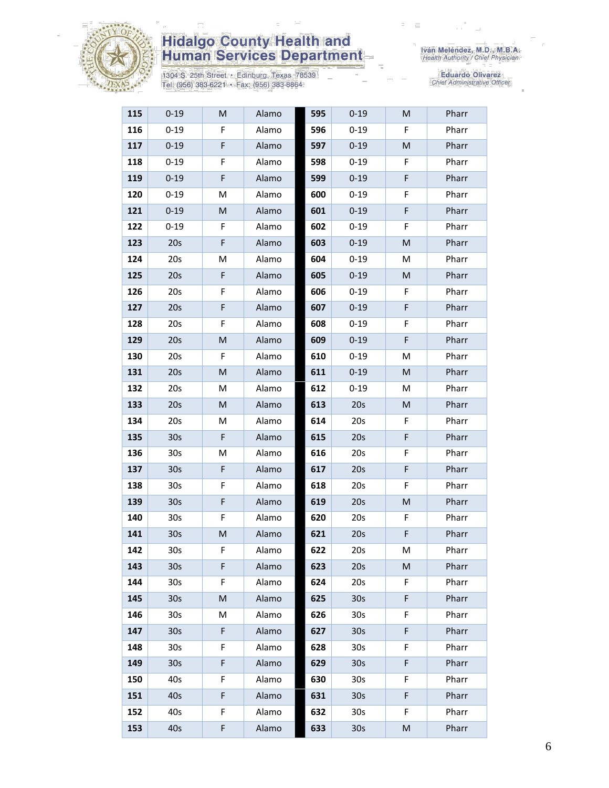

1304 S. 25th Street • Edinburg, Texas 78539<br>Tel: (956) 383-6221 • Fax: (956) 383-8864

| 115 | $0 - 19$        | M  | Alamo | 595 | $0 - 19$        | M  | Pharr |
|-----|-----------------|----|-------|-----|-----------------|----|-------|
| 116 | $0 - 19$        | F  | Alamo | 596 | $0 - 19$        | F  | Pharr |
| 117 | $0 - 19$        | F  | Alamo | 597 | $0 - 19$        | M  | Pharr |
| 118 | $0 - 19$        | F  | Alamo | 598 | $0 - 19$        | F  | Pharr |
| 119 | $0 - 19$        | F  | Alamo | 599 | $0 - 19$        | F  | Pharr |
| 120 | $0 - 19$        | M  | Alamo | 600 | $0 - 19$        | F  | Pharr |
| 121 | $0 - 19$        | M  | Alamo | 601 | $0 - 19$        | F  | Pharr |
| 122 | $0 - 19$        | F  | Alamo | 602 | $0 - 19$        | F  | Pharr |
| 123 | 20s             | F  | Alamo | 603 | $0 - 19$        | M  | Pharr |
| 124 | 20s             | M  | Alamo | 604 | $0 - 19$        | M  | Pharr |
| 125 | 20s             | F  | Alamo | 605 | $0 - 19$        | M  | Pharr |
| 126 | 20s             | F  | Alamo | 606 | $0 - 19$        | F  | Pharr |
| 127 | 20s             | F  | Alamo | 607 | $0 - 19$        | F  | Pharr |
| 128 | 20s             | F  | Alamo | 608 | $0 - 19$        | F  | Pharr |
| 129 | 20s             | M  | Alamo | 609 | $0 - 19$        | F  | Pharr |
| 130 | 20s             | F  | Alamo | 610 | $0 - 19$        | M  | Pharr |
| 131 | 20s             | M  | Alamo | 611 | $0 - 19$        | M  | Pharr |
| 132 | 20s             | M  | Alamo | 612 | $0 - 19$        | M  | Pharr |
| 133 | 20s             | M  | Alamo | 613 | 20s             | M  | Pharr |
| 134 | 20s             | M  | Alamo | 614 | 20s             | F  | Pharr |
| 135 | 30 <sub>s</sub> | F  | Alamo | 615 | 20s             | F  | Pharr |
| 136 | 30 <sub>s</sub> | M  | Alamo | 616 | 20s             | F  | Pharr |
| 137 | 30 <sub>s</sub> | F  | Alamo | 617 | 20s             | F  | Pharr |
| 138 | 30 <sub>s</sub> | F  | Alamo | 618 | 20s             | F  | Pharr |
| 139 | 30 <sub>s</sub> | F  | Alamo | 619 | 20s             | M  | Pharr |
| 140 | 30 <sub>s</sub> | F  | Alamo | 620 | 20s             | F  | Pharr |
| 141 | 30s             | M  | Alamo | 621 | 20s             | F  | Pharr |
| 142 | 30s             | F  | Alamo | 622 | 20s             | M  | Pharr |
| 143 | 30 <sub>s</sub> | F. | Alamo | 623 | 20s             | M  | Pharr |
| 144 | 30s             | F  | Alamo | 624 | 20s             | F. | Pharr |
| 145 | 30 <sub>s</sub> | M  | Alamo | 625 | 30 <sub>s</sub> | F. | Pharr |
| 146 | 30 <sub>s</sub> | М  | Alamo | 626 | 30 <sub>s</sub> | F. | Pharr |
| 147 | 30 <sub>s</sub> | F  | Alamo | 627 | 30 <sub>s</sub> | F  | Pharr |
| 148 | 30s             | F  | Alamo | 628 | 30 <sub>s</sub> | F  | Pharr |
| 149 | 30 <sub>s</sub> | F  | Alamo | 629 | 30 <sub>s</sub> | F. | Pharr |
| 150 | 40s             | F  | Alamo | 630 | 30 <sub>s</sub> | F  | Pharr |
| 151 | 40s             | F  | Alamo | 631 | 30 <sub>s</sub> | F  | Pharr |
| 152 | 40s             | F. | Alamo | 632 | 30 <sub>s</sub> | F. | Pharr |
| 153 | 40s             | F  | Alamo | 633 | 30 <sub>s</sub> | M  | Pharr |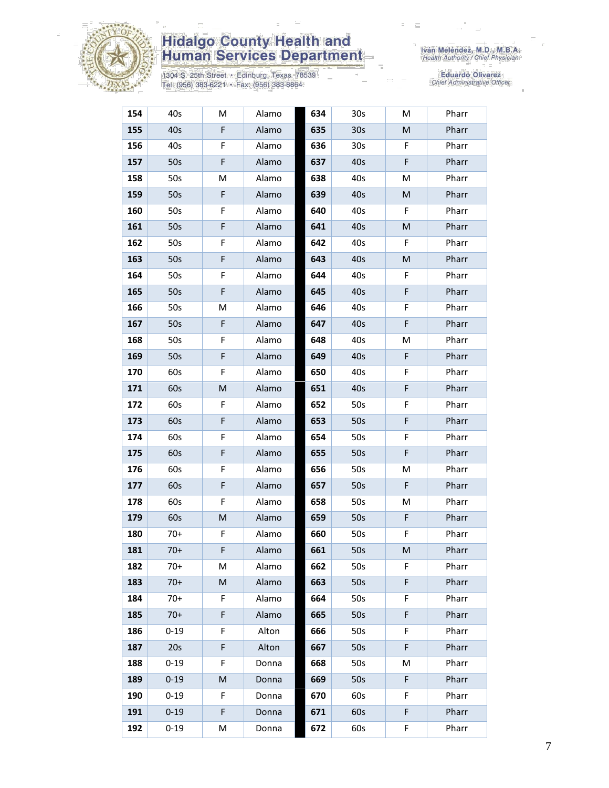

1304 S. 25th Street • Edinburg, Texas 78539<br>Tel: (956) 383-6221 • Fax: (956) 383-8864

Iván Meléndez, M.D., M.B.A.<br>Health Authority / Chief Physician

| 154 | 40s      | М  | Alamo | 634 | 30s             | M | Pharr |
|-----|----------|----|-------|-----|-----------------|---|-------|
| 155 | 40s      | F  | Alamo | 635 | 30 <sub>s</sub> | M | Pharr |
| 156 | 40s      | F  | Alamo | 636 | 30 <sub>s</sub> | F | Pharr |
| 157 | 50s      | F  | Alamo | 637 | 40s             | F | Pharr |
| 158 | 50s      | M  | Alamo | 638 | 40s             | M | Pharr |
| 159 | 50s      | F  | Alamo | 639 | 40s             | M | Pharr |
| 160 | 50s      | F  | Alamo | 640 | 40s             | F | Pharr |
| 161 | 50s      | F  | Alamo | 641 | 40s             | M | Pharr |
| 162 | 50s      | F  | Alamo | 642 | 40s             | F | Pharr |
| 163 | 50s      | F  | Alamo | 643 | 40s             | M | Pharr |
| 164 | 50s      | F  | Alamo | 644 | 40s             | F | Pharr |
| 165 | 50s      | F  | Alamo | 645 | 40s             | F | Pharr |
| 166 | 50s      | M  | Alamo | 646 | 40s             | F | Pharr |
| 167 | 50s      | F  | Alamo | 647 | 40s             | F | Pharr |
| 168 | 50s      | F  | Alamo | 648 | 40s             | M | Pharr |
| 169 | 50s      | F  | Alamo | 649 | 40s             | F | Pharr |
| 170 | 60s      | F  | Alamo | 650 | 40s             | F | Pharr |
| 171 | 60s      | M  | Alamo | 651 | 40s             | F | Pharr |
| 172 | 60s      | F. | Alamo | 652 | 50s             | F | Pharr |
| 173 | 60s      | F  | Alamo | 653 | 50s             | F | Pharr |
| 174 | 60s      | F  | Alamo | 654 | 50s             | F | Pharr |
| 175 | 60s      | F  | Alamo | 655 | 50s             | F | Pharr |
| 176 | 60s      | F  | Alamo | 656 | 50s             | M | Pharr |
| 177 | 60s      | F  | Alamo | 657 | 50s             | F | Pharr |
| 178 | 60s      | F  | Alamo | 658 | 50s             | M | Pharr |
| 179 | 60s      | M  | Alamo | 659 | 50s             | F | Pharr |
| 180 | $70+$    | F  | Alamo | 660 | 50s             | F | Pharr |
| 181 | $70+$    | F  | Alamo | 661 | 50s             | M | Pharr |
| 182 | $70+$    | M  | Alamo | 662 | 50s             | F | Pharr |
| 183 | $70+$    | M  | Alamo | 663 | 50s             | F | Pharr |
| 184 | $70+$    | F  | Alamo | 664 | 50s             | F | Pharr |
| 185 | $70+$    | F  | Alamo | 665 | 50s             | F | Pharr |
| 186 | $0 - 19$ | F  | Alton | 666 | 50s             | F | Pharr |
| 187 | 20s      | F  | Alton | 667 | 50s             | F | Pharr |
| 188 | $0 - 19$ | F  | Donna | 668 | 50s             | M | Pharr |
| 189 | $0 - 19$ | M  | Donna | 669 | 50s             | F | Pharr |
| 190 | $0 - 19$ | F  | Donna | 670 | 60s             | F | Pharr |
| 191 | $0 - 19$ | F  | Donna | 671 | 60s             | F | Pharr |
| 192 | $0 - 19$ | М  | Donna | 672 | 60s             | F | Pharr |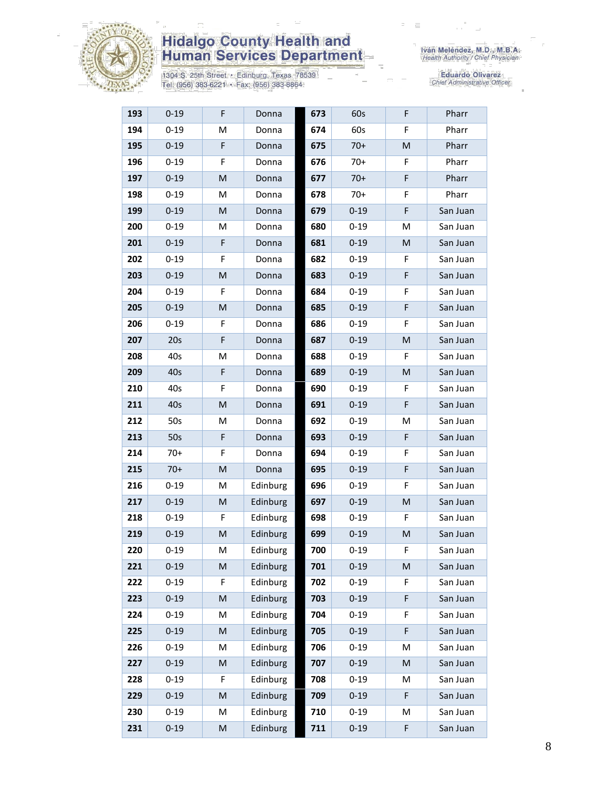

1304 S. 25th Street • Edinburg, Texas 78539<br>Tel: (956) 383-6221 • Fax: (956) 383-8864

| 193 | $0 - 19$ | F           | Donna    | 673 | 60s      | F  | Pharr    |
|-----|----------|-------------|----------|-----|----------|----|----------|
| 194 | $0 - 19$ | M           | Donna    | 674 | 60s      | F  | Pharr    |
| 195 | $0 - 19$ | $\mathsf F$ | Donna    | 675 | $70+$    | M  | Pharr    |
| 196 | $0 - 19$ | F           | Donna    | 676 | $70+$    | F  | Pharr    |
| 197 | $0 - 19$ | M           | Donna    | 677 | $70+$    | F  | Pharr    |
| 198 | $0 - 19$ | М           | Donna    | 678 | $70+$    | F  | Pharr    |
| 199 | $0 - 19$ | M           | Donna    | 679 | $0 - 19$ | F  | San Juan |
| 200 | $0 - 19$ | M           | Donna    | 680 | $0 - 19$ | M  | San Juan |
| 201 | $0 - 19$ | F           | Donna    | 681 | $0 - 19$ | M  | San Juan |
| 202 | $0 - 19$ | F           | Donna    | 682 | $0 - 19$ | F  | San Juan |
| 203 | $0 - 19$ | M           | Donna    | 683 | $0 - 19$ | F  | San Juan |
| 204 | $0 - 19$ | F           | Donna    | 684 | $0 - 19$ | F  | San Juan |
| 205 | $0 - 19$ | M           | Donna    | 685 | $0 - 19$ | F  | San Juan |
| 206 | $0 - 19$ | F           | Donna    | 686 | $0 - 19$ | F  | San Juan |
| 207 | 20s      | F           | Donna    | 687 | $0 - 19$ | M  | San Juan |
| 208 | 40s      | M           | Donna    | 688 | $0 - 19$ | F. | San Juan |
| 209 | 40s      | F           | Donna    | 689 | $0 - 19$ | M  | San Juan |
| 210 | 40s      | F           | Donna    | 690 | $0 - 19$ | F  | San Juan |
| 211 | 40s      | M           | Donna    | 691 | $0 - 19$ | F  | San Juan |
| 212 | 50s      | M           | Donna    | 692 | $0 - 19$ | м  | San Juan |
| 213 | 50s      | $\mathsf F$ | Donna    | 693 | $0 - 19$ | F  | San Juan |
| 214 | $70+$    | F           | Donna    | 694 | $0 - 19$ | F  | San Juan |
| 215 | $70+$    | M           | Donna    | 695 | $0 - 19$ | F  | San Juan |
| 216 | $0 - 19$ | M           | Edinburg | 696 | $0 - 19$ | F  | San Juan |
| 217 | $0 - 19$ | M           | Edinburg | 697 | $0 - 19$ | M  | San Juan |
| 218 | $0 - 19$ | F           | Edinburg | 698 | $0 - 19$ | F  | San Juan |
| 219 | $0 - 19$ | M           | Edinburg | 699 | $0 - 19$ | M  | San Juan |
| 220 | $0 - 19$ | М           | Edinburg | 700 | $0 - 19$ | F  | San Juan |
| 221 | $0 - 19$ | M           | Edinburg | 701 | $0 - 19$ | M  | San Juan |
| 222 | $0 - 19$ | F           | Edinburg | 702 | $0 - 19$ | F  | San Juan |
| 223 | $0 - 19$ | M           | Edinburg | 703 | $0 - 19$ | F  | San Juan |
| 224 | $0 - 19$ | M           | Edinburg | 704 | $0 - 19$ | F  | San Juan |
| 225 | $0 - 19$ | M           | Edinburg | 705 | $0 - 19$ | F  | San Juan |
| 226 | $0 - 19$ | M           | Edinburg | 706 | $0 - 19$ | M  | San Juan |
| 227 | $0 - 19$ | M           | Edinburg | 707 | $0 - 19$ | M  | San Juan |
| 228 | $0 - 19$ | F           | Edinburg | 708 | $0 - 19$ | M  | San Juan |
| 229 | $0 - 19$ | M           | Edinburg | 709 | $0 - 19$ | F  | San Juan |
| 230 | $0 - 19$ | M           | Edinburg | 710 | $0 - 19$ | м  | San Juan |
| 231 | $0 - 19$ | M           | Edinburg | 711 | $0 - 19$ | F  | San Juan |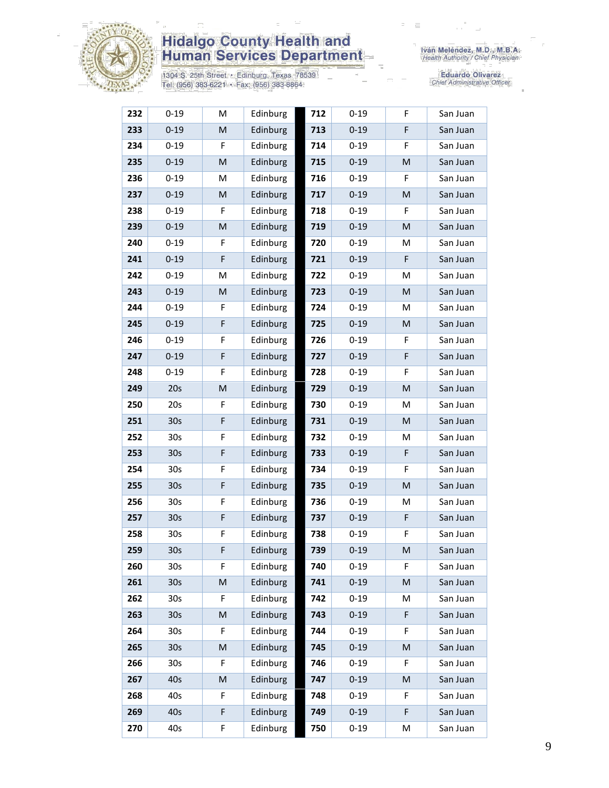

1304 S. 25th Street · Edinburg, Texas 78539<br>Tel: (956) 383-6221 · Fax: (956) 383-8864

| 232 | $0 - 19$        | M           | Edinburg | 712 | $0 - 19$ | F  | San Juan |
|-----|-----------------|-------------|----------|-----|----------|----|----------|
| 233 | $0 - 19$        | M           | Edinburg | 713 | $0 - 19$ | F  | San Juan |
| 234 | $0 - 19$        | F           | Edinburg | 714 | $0 - 19$ | F  | San Juan |
| 235 | $0 - 19$        | ${\sf M}$   | Edinburg | 715 | $0 - 19$ | M  | San Juan |
| 236 | $0 - 19$        | М           | Edinburg | 716 | $0 - 19$ | F  | San Juan |
| 237 | $0 - 19$        | M           | Edinburg | 717 | $0 - 19$ | M  | San Juan |
| 238 | $0 - 19$        | F           | Edinburg | 718 | $0 - 19$ | F  | San Juan |
| 239 | $0 - 19$        | M           | Edinburg | 719 | $0 - 19$ | M  | San Juan |
| 240 | $0 - 19$        | F           | Edinburg | 720 | $0 - 19$ | M  | San Juan |
| 241 | $0 - 19$        | $\mathsf F$ | Edinburg | 721 | $0 - 19$ | F  | San Juan |
| 242 | $0 - 19$        | M           | Edinburg | 722 | $0 - 19$ | M  | San Juan |
| 243 | $0 - 19$        | M           | Edinburg | 723 | $0 - 19$ | M  | San Juan |
| 244 | $0 - 19$        | F           | Edinburg | 724 | $0 - 19$ | M  | San Juan |
| 245 | $0 - 19$        | $\mathsf F$ | Edinburg | 725 | $0 - 19$ | M  | San Juan |
| 246 | $0 - 19$        | F           | Edinburg | 726 | $0 - 19$ | F  | San Juan |
| 247 | $0 - 19$        | $\mathsf F$ | Edinburg | 727 | $0 - 19$ | F  | San Juan |
| 248 | $0 - 19$        | F           | Edinburg | 728 | $0 - 19$ | F. | San Juan |
| 249 | 20s             | ${\sf M}$   | Edinburg | 729 | $0 - 19$ | M  | San Juan |
| 250 | 20s             | F           | Edinburg | 730 | $0 - 19$ | M  | San Juan |
| 251 | 30 <sub>s</sub> | $\mathsf F$ | Edinburg | 731 | $0 - 19$ | M  | San Juan |
| 252 | 30 <sub>s</sub> | F           | Edinburg | 732 | $0 - 19$ | M  | San Juan |
| 253 | 30 <sub>s</sub> | F           | Edinburg | 733 | $0 - 19$ | F  | San Juan |
| 254 | 30s             | F           | Edinburg | 734 | $0 - 19$ | F  | San Juan |
| 255 | 30 <sub>s</sub> | $\mathsf F$ | Edinburg | 735 | $0 - 19$ | M  | San Juan |
| 256 | 30 <sub>s</sub> | F           | Edinburg | 736 | $0 - 19$ | M  | San Juan |
| 257 | 30 <sub>s</sub> | $\mathsf F$ | Edinburg | 737 | $0 - 19$ | F  | San Juan |
| 258 | 30 <sub>s</sub> | F           | Edinburg | 738 | $0 - 19$ | F  | San Juan |
| 259 | 30s             | F           | Edinburg | 739 | $0 - 19$ | M  | San Juan |
| 260 | 30 <sub>s</sub> | F           | Edinburg | 740 | $0 - 19$ | F  | San Juan |
| 261 | 30 <sub>s</sub> | M           | Edinburg | 741 | $0 - 19$ | M  | San Juan |
| 262 | 30 <sub>s</sub> | F           | Edinburg | 742 | $0 - 19$ | M  | San Juan |
| 263 | 30 <sub>s</sub> | ${\sf M}$   | Edinburg | 743 | $0 - 19$ | F  | San Juan |
| 264 | 30 <sub>s</sub> | F           | Edinburg | 744 | $0 - 19$ | F  | San Juan |
| 265 | 30 <sub>s</sub> | M           | Edinburg | 745 | $0 - 19$ | M  | San Juan |
| 266 | 30 <sub>s</sub> | F           | Edinburg | 746 | $0 - 19$ | F  | San Juan |
| 267 | 40s             | M           | Edinburg | 747 | $0 - 19$ | M  | San Juan |
| 268 | 40s             | F           | Edinburg | 748 | $0 - 19$ | F  | San Juan |
| 269 | 40s             | $\mathsf F$ | Edinburg | 749 | $0 - 19$ | F  | San Juan |
| 270 | 40s             | F           | Edinburg | 750 | $0 - 19$ | М  | San Juan |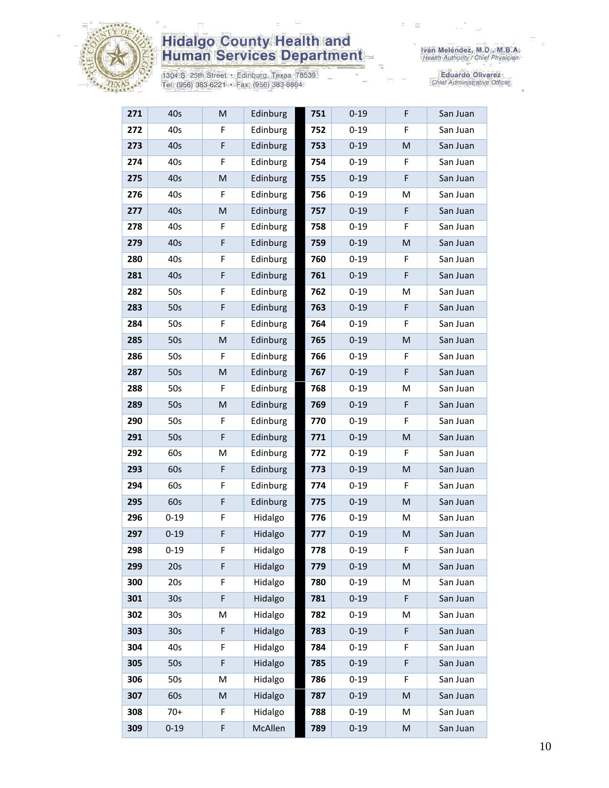

1304 S. 25th Street • Edinburg, Texas 78539<br>Tel: (956) 383-6221 • Fax: (956) 383-8864

| 271 | 40s             | M | Edinburg | 751 | $0 - 19$ | F | San Juan |
|-----|-----------------|---|----------|-----|----------|---|----------|
| 272 | 40s             | F | Edinburg | 752 | $0 - 19$ | F | San Juan |
| 273 | 40s             | F | Edinburg | 753 | $0 - 19$ | M | San Juan |
| 274 | 40s             | F | Edinburg | 754 | $0 - 19$ | F | San Juan |
| 275 | 40s             | M | Edinburg | 755 | $0 - 19$ | F | San Juan |
| 276 | 40s             | F | Edinburg | 756 | $0 - 19$ | M | San Juan |
| 277 | 40s             | M | Edinburg | 757 | $0 - 19$ | F | San Juan |
| 278 | 40s             | F | Edinburg | 758 | $0 - 19$ | F | San Juan |
| 279 | 40s             | F | Edinburg | 759 | $0 - 19$ | M | San Juan |
| 280 | 40s             | F | Edinburg | 760 | $0 - 19$ | F | San Juan |
| 281 | 40s             | F | Edinburg | 761 | $0 - 19$ | F | San Juan |
| 282 | 50s             | F | Edinburg | 762 | $0 - 19$ | M | San Juan |
| 283 | 50s             | F | Edinburg | 763 | $0 - 19$ | F | San Juan |
| 284 | 50s             | F | Edinburg | 764 | $0 - 19$ | F | San Juan |
| 285 | 50s             | M | Edinburg | 765 | $0 - 19$ | M | San Juan |
| 286 | 50s             | F | Edinburg | 766 | $0 - 19$ | F | San Juan |
| 287 | 50s             | M | Edinburg | 767 | $0 - 19$ | F | San Juan |
| 288 | 50s             | F | Edinburg | 768 | $0 - 19$ | M | San Juan |
| 289 | 50s             | M | Edinburg | 769 | $0 - 19$ | F | San Juan |
| 290 | 50s             | F | Edinburg | 770 | $0 - 19$ | F | San Juan |
| 291 | 50s             | F | Edinburg | 771 | $0 - 19$ | M | San Juan |
| 292 | 60s             | M | Edinburg | 772 | $0 - 19$ | F | San Juan |
| 293 | 60s             | F | Edinburg | 773 | $0 - 19$ | M | San Juan |
| 294 | 60s             | F | Edinburg | 774 | $0 - 19$ | F | San Juan |
| 295 | 60s             | F | Edinburg | 775 | $0 - 19$ | M | San Juan |
| 296 | $0 - 19$        | F | Hidalgo  | 776 | $0 - 19$ | M | San Juan |
| 297 | $0 - 19$        | F | Hidalgo  | 777 | $0 - 19$ | M | San Juan |
| 298 | $0 - 19$        | F | Hidalgo  | 778 | $0 - 19$ | F | San Juan |
| 299 | 20s             | F | Hidalgo  | 779 | $0 - 19$ | M | San Juan |
| 300 | 20s             | F | Hidalgo  | 780 | $0 - 19$ | Μ | San Juan |
| 301 | 30s             | F | Hidalgo  | 781 | $0 - 19$ | F | San Juan |
| 302 | 30 <sub>s</sub> | M | Hidalgo  | 782 | $0 - 19$ | M | San Juan |
| 303 | 30 <sub>s</sub> | F | Hidalgo  | 783 | $0 - 19$ | F | San Juan |
| 304 | 40s             | F | Hidalgo  | 784 | $0 - 19$ | F | San Juan |
| 305 | 50s             | F | Hidalgo  | 785 | $0 - 19$ | F | San Juan |
| 306 | 50s             | M | Hidalgo  | 786 | $0 - 19$ | F | San Juan |
| 307 | 60s             | M | Hidalgo  | 787 | $0 - 19$ | M | San Juan |
| 308 | $70+$           | F | Hidalgo  | 788 | $0 - 19$ | M | San Juan |
| 309 | $0 - 19$        | F | McAllen  | 789 | $0 - 19$ | M | San Juan |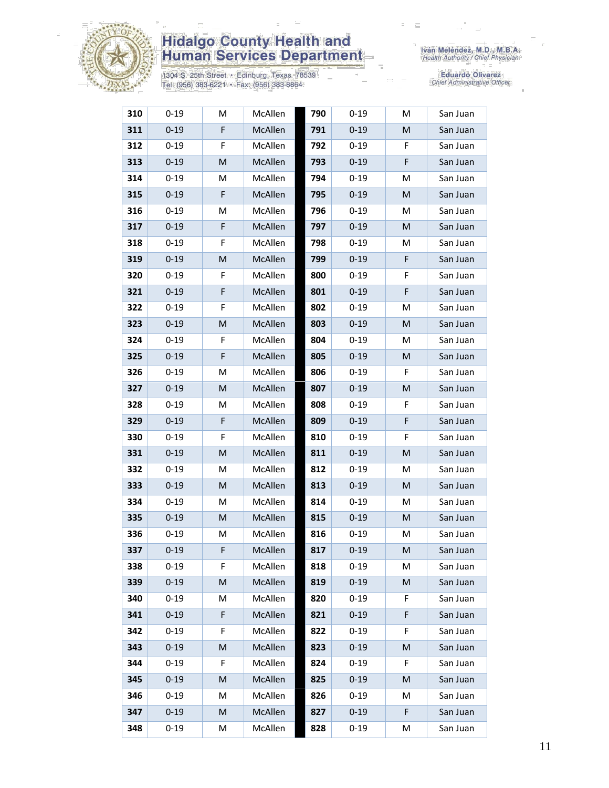

1304 S. 25th Street • Edinburg, Texas 78539<br>Tel: (956) 383-6221 • Fax: (956) 383-8864

| 310 | $0 - 19$ | M | McAllen | 790 | $0 - 19$ | M  | San Juan |
|-----|----------|---|---------|-----|----------|----|----------|
| 311 | $0 - 19$ | F | McAllen | 791 | $0 - 19$ | M  | San Juan |
| 312 | $0 - 19$ | F | McAllen | 792 | $0 - 19$ | F  | San Juan |
| 313 | $0 - 19$ | M | McAllen | 793 | $0 - 19$ | F  | San Juan |
| 314 | $0 - 19$ | M | McAllen | 794 | $0 - 19$ | M  | San Juan |
| 315 | $0 - 19$ | F | McAllen | 795 | $0 - 19$ | M  | San Juan |
| 316 | $0 - 19$ | M | McAllen | 796 | $0 - 19$ | M  | San Juan |
| 317 | $0 - 19$ | F | McAllen | 797 | $0 - 19$ | M  | San Juan |
| 318 | $0 - 19$ | F | McAllen | 798 | $0 - 19$ | M  | San Juan |
| 319 | $0 - 19$ | M | McAllen | 799 | $0 - 19$ | F  | San Juan |
| 320 | $0 - 19$ | F | McAllen | 800 | $0 - 19$ | F  | San Juan |
| 321 | $0 - 19$ | F | McAllen | 801 | $0 - 19$ | F  | San Juan |
| 322 | $0 - 19$ | F | McAllen | 802 | $0 - 19$ | M  | San Juan |
| 323 | $0 - 19$ | M | McAllen | 803 | $0 - 19$ | M  | San Juan |
| 324 | $0 - 19$ | F | McAllen | 804 | $0 - 19$ | M  | San Juan |
| 325 | $0 - 19$ | F | McAllen | 805 | $0 - 19$ | М  | San Juan |
| 326 | $0 - 19$ | M | McAllen | 806 | $0 - 19$ | F  | San Juan |
| 327 | $0 - 19$ | M | McAllen | 807 | $0 - 19$ | M  | San Juan |
| 328 | $0 - 19$ | M | McAllen | 808 | $0 - 19$ | F  | San Juan |
| 329 | $0 - 19$ | F | McAllen | 809 | $0 - 19$ | F  | San Juan |
| 330 | $0 - 19$ | F | McAllen | 810 | $0 - 19$ | F  | San Juan |
| 331 | $0 - 19$ | M | McAllen | 811 | $0 - 19$ | M  | San Juan |
| 332 | $0 - 19$ | M | McAllen | 812 | $0 - 19$ | M  | San Juan |
| 333 | $0 - 19$ | M | McAllen | 813 | $0 - 19$ | М  | San Juan |
| 334 | $0 - 19$ | M | McAllen | 814 | $0 - 19$ | M  | San Juan |
| 335 | $0 - 19$ | M | McAllen | 815 | $0 - 19$ | M  | San Juan |
| 336 | $0 - 19$ | M | McAllen | 816 | $0 - 19$ | M  | San Juan |
| 337 | $0 - 19$ | F | McAllen | 817 | $0 - 19$ | M  | San Juan |
| 338 | $0 - 19$ | F | McAllen | 818 | $0 - 19$ | M  | San Juan |
| 339 | $0 - 19$ | M | McAllen | 819 | $0 - 19$ | M  | San Juan |
| 340 | $0 - 19$ | Μ | McAllen | 820 | $0 - 19$ | F. | San Juan |
| 341 | $0 - 19$ | F | McAllen | 821 | $0 - 19$ | F  | San Juan |
| 342 | $0 - 19$ | F | McAllen | 822 | $0 - 19$ | F  | San Juan |
| 343 | $0 - 19$ | M | McAllen | 823 | $0 - 19$ | M  | San Juan |
| 344 | $0 - 19$ | F | McAllen | 824 | $0 - 19$ | F  | San Juan |
| 345 | $0 - 19$ | M | McAllen | 825 | $0 - 19$ | M  | San Juan |
| 346 | $0 - 19$ | М | McAllen | 826 | $0 - 19$ | М  | San Juan |
| 347 | $0 - 19$ | M | McAllen | 827 | $0 - 19$ | F. | San Juan |
| 348 | $0 - 19$ | M | McAllen | 828 | $0 - 19$ | M  | San Juan |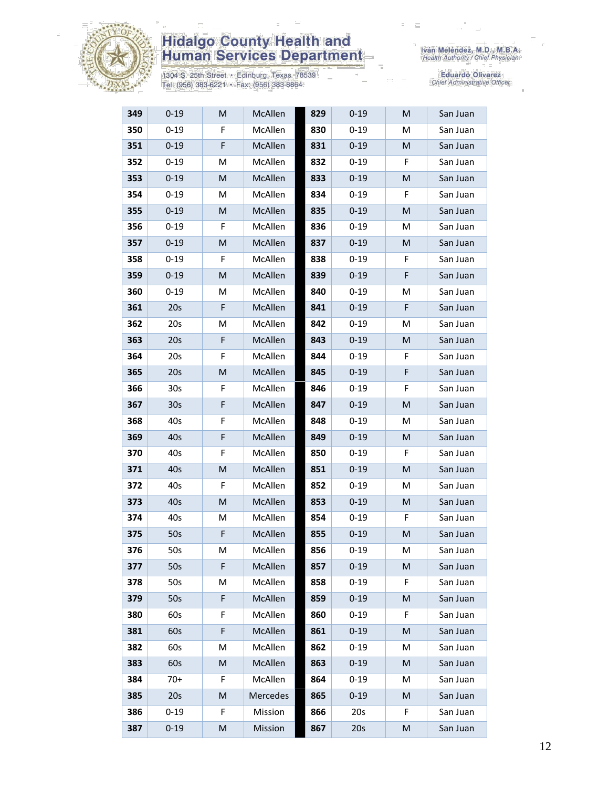

1304 S. 25th Street • Edinburg, Texas 78539<br>Tel: (956) 383-6221 • Fax: (956) 383-8864

| 349 | $0 - 19$        | M  | McAllen        | 829 | $0 - 19$ | M | San Juan |
|-----|-----------------|----|----------------|-----|----------|---|----------|
| 350 | $0 - 19$        | F  | McAllen        | 830 | $0 - 19$ | M | San Juan |
| 351 | $0 - 19$        | F  | McAllen        | 831 | $0 - 19$ | M | San Juan |
| 352 | $0 - 19$        | M  | McAllen        | 832 | $0 - 19$ | F | San Juan |
| 353 | $0 - 19$        | M  | McAllen        | 833 | $0 - 19$ | M | San Juan |
| 354 | $0 - 19$        | M  | McAllen        | 834 | $0 - 19$ | F | San Juan |
| 355 | $0 - 19$        | M  | McAllen        | 835 | $0 - 19$ | M | San Juan |
| 356 | $0 - 19$        | F  | McAllen        | 836 | $0 - 19$ | M | San Juan |
| 357 | $0 - 19$        | M  | McAllen        | 837 | $0 - 19$ | M | San Juan |
| 358 | $0 - 19$        | F  | <b>McAllen</b> | 838 | $0 - 19$ | F | San Juan |
| 359 | $0 - 19$        | M  | McAllen        | 839 | $0 - 19$ | F | San Juan |
| 360 | $0 - 19$        | M  | McAllen        | 840 | $0 - 19$ | м | San Juan |
| 361 | 20s             | F  | McAllen        | 841 | $0 - 19$ | F | San Juan |
| 362 | 20s             | M  | McAllen        | 842 | $0 - 19$ | м | San Juan |
| 363 | 20s             | F  | McAllen        | 843 | $0 - 19$ | M | San Juan |
| 364 | 20s             | F  | McAllen        | 844 | $0 - 19$ | F | San Juan |
| 365 | 20s             | M  | McAllen        | 845 | $0 - 19$ | F | San Juan |
| 366 | 30s             | F  | McAllen        | 846 | $0 - 19$ | F | San Juan |
| 367 | 30 <sub>s</sub> | F  | McAllen        | 847 | $0 - 19$ | M | San Juan |
| 368 | 40s             | F  | McAllen        | 848 | $0 - 19$ | м | San Juan |
| 369 | 40s             | F  | McAllen        | 849 | $0 - 19$ | M | San Juan |
| 370 | 40s             | F  | McAllen        | 850 | $0 - 19$ | F | San Juan |
| 371 | 40s             | M  | McAllen        | 851 | $0 - 19$ | М | San Juan |
| 372 | 40s             | F  | McAllen        | 852 | $0 - 19$ | м | San Juan |
| 373 | 40s             | M  | McAllen        | 853 | $0 - 19$ | M | San Juan |
| 374 | 40s             | M  | McAllen        | 854 | $0 - 19$ | F | San Juan |
| 375 | 50s             | F  | McAllen        | 855 | $0 - 19$ | M | San Juan |
| 376 | 50s             | M  | McAllen        | 856 | $0 - 19$ | м | San Juan |
| 377 | 50s             | F  | McAllen        | 857 | $0 - 19$ | M | San Juan |
| 378 | 50s             | M  | McAllen        | 858 | $0 - 19$ | F | San Juan |
| 379 | 50s             | F  | McAllen        | 859 | $0 - 19$ | M | San Juan |
| 380 | 60s             | F  | McAllen        | 860 | $0 - 19$ | F | San Juan |
| 381 | 60s             | F  | McAllen        | 861 | $0 - 19$ | M | San Juan |
| 382 | 60s             | М  | McAllen        | 862 | $0 - 19$ | M | San Juan |
| 383 | 60s             | M  | McAllen        | 863 | $0 - 19$ | М | San Juan |
| 384 | $70+$           | F  | McAllen        | 864 | $0 - 19$ | М | San Juan |
| 385 | 20s             | M  | Mercedes       | 865 | $0 - 19$ | M | San Juan |
| 386 | $0 - 19$        | F. | Mission        | 866 | 20s      | F | San Juan |
| 387 | $0 - 19$        | M  | Mission        | 867 | 20s      | M | San Juan |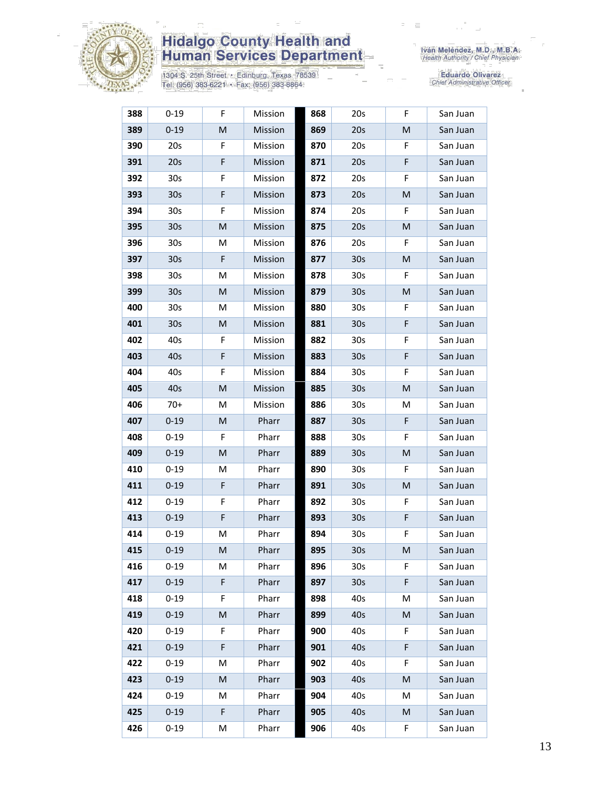

1304 S. 25th Street • Edinburg, Texas 78539<br>Tel: (956) 383-6221 • Fax: (956) 383-8864

| 388 | $0 - 19$        | F | Mission | 868 | 20s             | F  | San Juan |
|-----|-----------------|---|---------|-----|-----------------|----|----------|
| 389 | $0 - 19$        | M | Mission | 869 | 20s             | M  | San Juan |
| 390 | 20s             | F | Mission | 870 | 20s             | F  | San Juan |
| 391 | 20s             | F | Mission | 871 | 20s             | F  | San Juan |
| 392 | 30 <sub>s</sub> | F | Mission | 872 | 20s             | F  | San Juan |
| 393 | 30 <sub>s</sub> | F | Mission | 873 | 20s             | M  | San Juan |
| 394 | 30 <sub>s</sub> | F | Mission | 874 | 20s             | F  | San Juan |
| 395 | 30 <sub>s</sub> | M | Mission | 875 | 20s             | M  | San Juan |
| 396 | 30 <sub>s</sub> | M | Mission | 876 | 20s             | F  | San Juan |
| 397 | 30 <sub>s</sub> | F | Mission | 877 | 30 <sub>s</sub> | M  | San Juan |
| 398 | 30s             | M | Mission | 878 | 30 <sub>s</sub> | F  | San Juan |
| 399 | 30 <sub>s</sub> | M | Mission | 879 | 30 <sub>s</sub> | M  | San Juan |
| 400 | 30s             | M | Mission | 880 | 30 <sub>s</sub> | F  | San Juan |
| 401 | 30 <sub>s</sub> | M | Mission | 881 | 30 <sub>s</sub> | F  | San Juan |
| 402 | 40s             | F | Mission | 882 | 30 <sub>s</sub> | F  | San Juan |
| 403 | 40s             | F | Mission | 883 | 30 <sub>s</sub> | F  | San Juan |
| 404 | 40s             | F | Mission | 884 | 30 <sub>s</sub> | F  | San Juan |
| 405 | 40s             | M | Mission | 885 | 30 <sub>s</sub> | M  | San Juan |
| 406 | $70+$           | M | Mission | 886 | 30 <sub>s</sub> | M  | San Juan |
| 407 | $0 - 19$        | M | Pharr   | 887 | 30 <sub>s</sub> | F  | San Juan |
| 408 | $0 - 19$        | F | Pharr   | 888 | 30 <sub>s</sub> | F  | San Juan |
| 409 | $0 - 19$        | M | Pharr   | 889 | 30 <sub>s</sub> | M  | San Juan |
| 410 | $0 - 19$        | M | Pharr   | 890 | 30 <sub>s</sub> | F  | San Juan |
| 411 | $0 - 19$        | F | Pharr   | 891 | 30 <sub>s</sub> | M  | San Juan |
| 412 | $0 - 19$        | F | Pharr   | 892 | 30 <sub>s</sub> | F  | San Juan |
| 413 | $0 - 19$        | F | Pharr   | 893 | 30 <sub>s</sub> | F  | San Juan |
| 414 | $0 - 19$        | M | Pharr   | 894 | 30s             | F  | San Juan |
| 415 | $0 - 19$        | M | Pharr   | 895 | 30s             | M  | San Juan |
| 416 | $0 - 19$        | M | Pharr   | 896 | 30 <sub>s</sub> | F  | San Juan |
| 417 | $0 - 19$        | F | Pharr   | 897 | 30 <sub>s</sub> | F  | San Juan |
| 418 | $0 - 19$        | F | Pharr   | 898 | 40s             | M  | San Juan |
| 419 | $0 - 19$        | M | Pharr   | 899 | 40s             | M  | San Juan |
| 420 | $0 - 19$        | F | Pharr   | 900 | 40s             | F  | San Juan |
| 421 | $0 - 19$        | F | Pharr   | 901 | 40s             | F  | San Juan |
| 422 | $0 - 19$        | M | Pharr   | 902 | 40s             | F  | San Juan |
| 423 | $0 - 19$        | M | Pharr   | 903 | 40s             | M  | San Juan |
| 424 | $0 - 19$        | М | Pharr   | 904 | 40s             | M  | San Juan |
| 425 | $0 - 19$        | F | Pharr   | 905 | 40s             | M  | San Juan |
| 426 | $0 - 19$        | M | Pharr   | 906 | 40s             | F. | San Juan |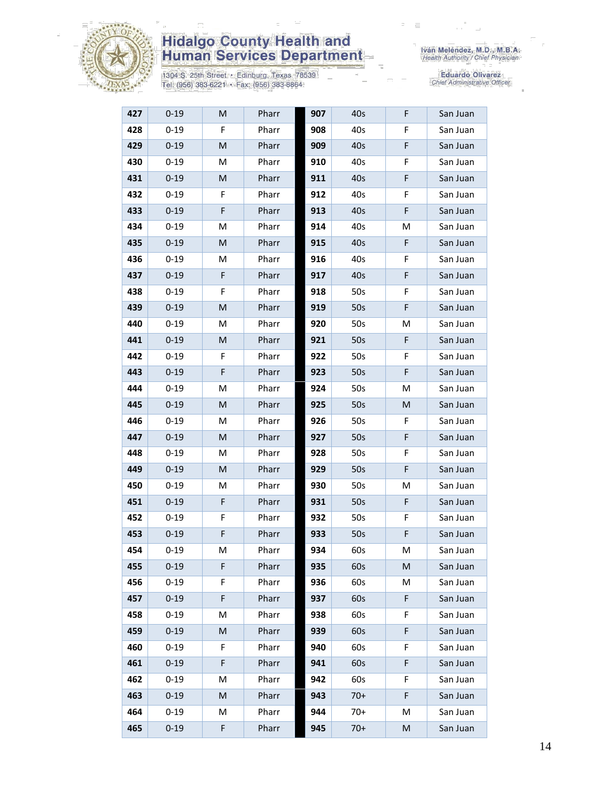

1304 S. 25th Street • Edinburg, Texas 78539<br>Tel: (956) 383-6221 • Fax: (956) 383-8864

| 427 | $0 - 19$ | M | Pharr | 907 | 40s   | F  | San Juan |
|-----|----------|---|-------|-----|-------|----|----------|
| 428 | $0 - 19$ | F | Pharr | 908 | 40s   | F  | San Juan |
| 429 | $0 - 19$ | M | Pharr | 909 | 40s   | F  | San Juan |
| 430 | $0 - 19$ | M | Pharr | 910 | 40s   | F  | San Juan |
| 431 | $0 - 19$ | M | Pharr | 911 | 40s   | F  | San Juan |
| 432 | $0 - 19$ | F | Pharr | 912 | 40s   | F  | San Juan |
| 433 | $0 - 19$ | F | Pharr | 913 | 40s   | F  | San Juan |
| 434 | $0 - 19$ | М | Pharr | 914 | 40s   | M  | San Juan |
| 435 | $0 - 19$ | M | Pharr | 915 | 40s   | F  | San Juan |
| 436 | $0 - 19$ | М | Pharr | 916 | 40s   | F  | San Juan |
| 437 | $0 - 19$ | F | Pharr | 917 | 40s   | F  | San Juan |
| 438 | $0 - 19$ | F | Pharr | 918 | 50s   | F  | San Juan |
| 439 | $0 - 19$ | M | Pharr | 919 | 50s   | F  | San Juan |
| 440 | $0 - 19$ | М | Pharr | 920 | 50s   | М  | San Juan |
| 441 | $0 - 19$ | M | Pharr | 921 | 50s   | F  | San Juan |
| 442 | $0 - 19$ | F | Pharr | 922 | 50s   | F  | San Juan |
| 443 | $0 - 19$ | F | Pharr | 923 | 50s   | F  | San Juan |
| 444 | $0 - 19$ | M | Pharr | 924 | 50s   | M  | San Juan |
| 445 | $0 - 19$ | M | Pharr | 925 | 50s   | M  | San Juan |
| 446 | $0 - 19$ | М | Pharr | 926 | 50s   | F  | San Juan |
| 447 | $0 - 19$ | M | Pharr | 927 | 50s   | F  | San Juan |
| 448 | $0 - 19$ | М | Pharr | 928 | 50s   | F  | San Juan |
| 449 | $0 - 19$ | M | Pharr | 929 | 50s   | F  | San Juan |
| 450 | $0 - 19$ | M | Pharr | 930 | 50s   | M  | San Juan |
| 451 | $0 - 19$ | F | Pharr | 931 | 50s   | F  | San Juan |
| 452 | $0 - 19$ | F | Pharr | 932 | 50s   | F  | San Juan |
| 453 | $0 - 19$ | F | Pharr | 933 | 50s   | F  | San Juan |
| 454 | $0 - 19$ | M | Pharr | 934 | 60s   | M  | San Juan |
| 455 | $0 - 19$ | F | Pharr | 935 | 60s   | M  | San Juan |
| 456 | $0 - 19$ | F | Pharr | 936 | 60s   | M  | San Juan |
| 457 | $0 - 19$ | F | Pharr | 937 | 60s   | F  | San Juan |
| 458 | $0 - 19$ | М | Pharr | 938 | 60s   | F. | San Juan |
| 459 | $0 - 19$ | M | Pharr | 939 | 60s   | F  | San Juan |
| 460 | $0 - 19$ | F | Pharr | 940 | 60s   | F  | San Juan |
| 461 | $0 - 19$ | F | Pharr | 941 | 60s   | F  | San Juan |
| 462 | $0 - 19$ | М | Pharr | 942 | 60s   | F  | San Juan |
| 463 | $0 - 19$ | M | Pharr | 943 | $70+$ | F  | San Juan |
| 464 | $0 - 19$ | М | Pharr | 944 | $70+$ | М  | San Juan |
| 465 | $0 - 19$ | F | Pharr | 945 | $70+$ | M  | San Juan |